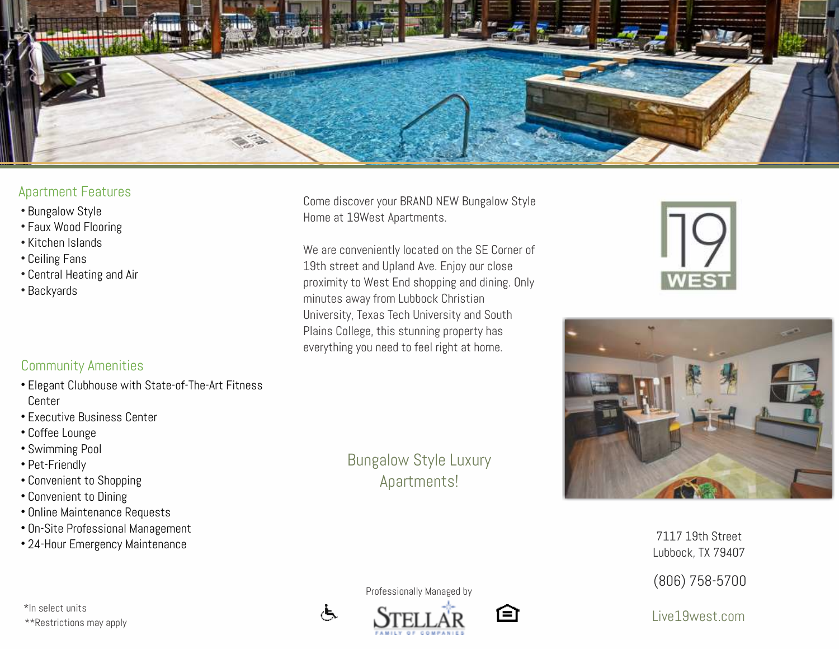

## Apartment Features

- 
- 
- 
- 
- 
- 

## Community Amenities

- Elegant Clubhouse with State-of-The-Art Fitness Center • Bungalow Style<br>• Faux Wood Flooring<br>• Kitchen Islands<br>• Central Heating and Air<br>• Backyards<br>• Backyards<br>• Elegant Clubhouse with State-of-<br>Center<br>• Executive Business Center<br>• Coffee Lounge<br>• Swimming Pool<br>• Pet-Friendly
- **Executive Business Center**
- Coffee Lounge
- Swimming Pool
- Pet-Friendly
- Convenient to Shopping
- Convenient to Dining
- Online Maintenance Requests
- On-Site Professional Management
- 

\*\*Restrictions may apply \*In select units

Come discover your BRAND NEW Bungalow Style Home at 19West Apartments.

We are conveniently located on the SE Corner of 19th street and Upland Ave. Enjoy our close proximity to West End shopping and dining. Only minutes away from Lubbock Christian University, Texas Tech University and South Plains College, this stunning property has everything you need to feel right at home.

> Bungalow Style Luxury Apartments!





رنج







7117 19th Street Lubbock, TX 794 0 7

(8 06) 758-5700

Live19west.com